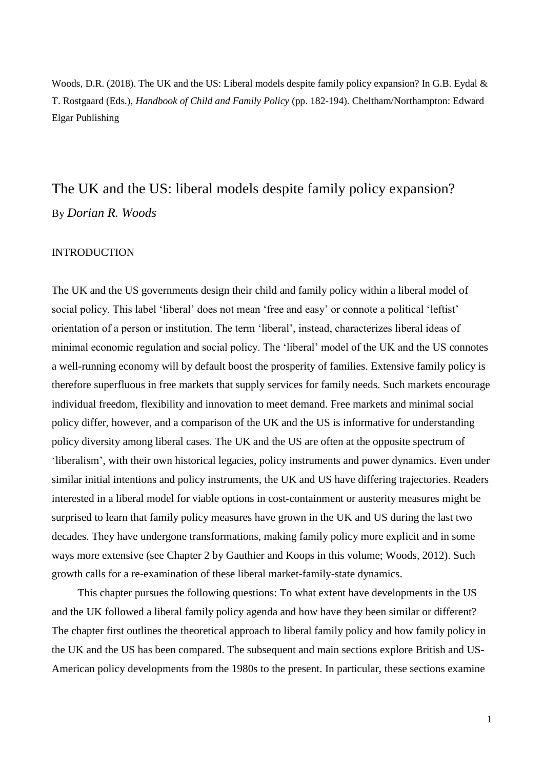Woods, D.R. (2018). The UK and the US: Liberal models despite family policy expansion? In G.B. Eydal & T. Rostgaard (Eds.), *Handbook of Child and Family Policy* (pp. 182-194). Cheltham/Northampton: Edward Elgar Publishing

# The UK and the US: liberal models despite family policy expansion? By *Dorian R. Woods*

# INTRODUCTION

The UK and the US governments design their child and family policy within a liberal model of social policy. This label 'liberal' does not mean 'free and easy' or connote a political 'leftist' orientation of a person or institution. The term 'liberal', instead, characterizes liberal ideas of minimal economic regulation and social policy. The 'liberal' model of the UK and the US connotes a well-running economy will by default boost the prosperity of families. Extensive family policy is therefore superfluous in free markets that supply services for family needs. Such markets encourage individual freedom, flexibility and innovation to meet demand. Free markets and minimal social policy differ, however, and a comparison of the UK and the US is informative for understanding policy diversity among liberal cases. The UK and the US are often at the opposite spectrum of 'liberalism', with their own historical legacies, policy instruments and power dynamics. Even under similar initial intentions and policy instruments, the UK and US have differing trajectories. Readers interested in a liberal model for viable options in cost-containment or austerity measures might be surprised to learn that family policy measures have grown in the UK and US during the last two decades. They have undergone transformations, making family policy more explicit and in some ways more extensive (see Chapter 2 by Gauthier and Koops in this volume; Woods, 2012). Such growth calls for a re-examination of these liberal market-family-state dynamics.

This chapter pursues the following questions: To what extent have developments in the US and the UK followed a liberal family policy agenda and how have they been similar or different? The chapter first outlines the theoretical approach to liberal family policy and how family policy in the UK and the US has been compared. The subsequent and main sections explore British and US-American policy developments from the 1980s to the present. In particular, these sections examine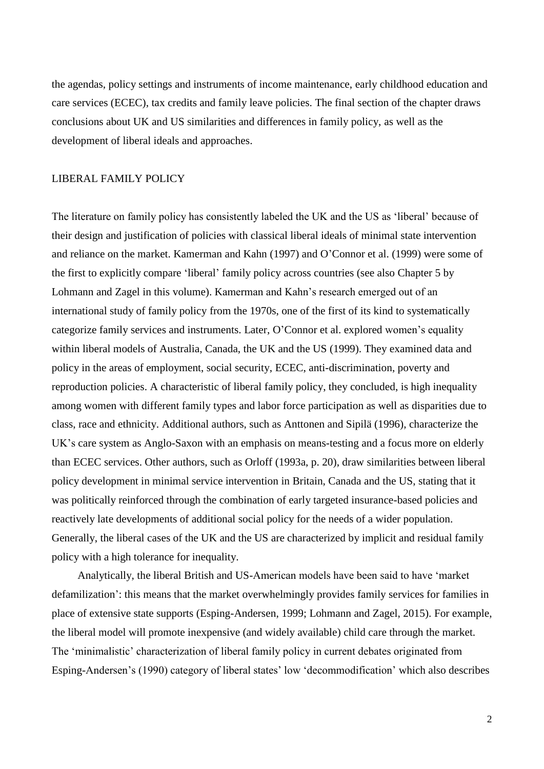the agendas, policy settings and instruments of income maintenance, early childhood education and care services (ECEC), tax credits and family leave policies. The final section of the chapter draws conclusions about UK and US similarities and differences in family policy, as well as the development of liberal ideals and approaches.

# LIBERAL FAMILY POLICY

The literature on family policy has consistently labeled the UK and the US as 'liberal' because of their design and justification of policies with classical liberal ideals of minimal state intervention and reliance on the market. Kamerman and Kahn (1997) and O'Connor et al. (1999) were some of the first to explicitly compare 'liberal' family policy across countries (see also Chapter 5 by Lohmann and Zagel in this volume). Kamerman and Kahn's research emerged out of an international study of family policy from the 1970s, one of the first of its kind to systematically categorize family services and instruments. Later, O'Connor et al. explored women's equality within liberal models of Australia, Canada, the UK and the US (1999). They examined data and policy in the areas of employment, social security, ECEC, anti-discrimination, poverty and reproduction policies. A characteristic of liberal family policy, they concluded, is high inequality among women with different family types and labor force participation as well as disparities due to class, race and ethnicity. Additional authors, such as Anttonen and Sipilä (1996), characterize the UK's care system as Anglo-Saxon with an emphasis on means-testing and a focus more on elderly than ECEC services. Other authors, such as Orloff (1993a, p. 20), draw similarities between liberal policy development in minimal service intervention in Britain, Canada and the US, stating that it was politically reinforced through the combination of early targeted insurance-based policies and reactively late developments of additional social policy for the needs of a wider population. Generally, the liberal cases of the UK and the US are characterized by implicit and residual family policy with a high tolerance for inequality.

Analytically, the liberal British and US-American models have been said to have 'market defamilization': this means that the market overwhelmingly provides family services for families in place of extensive state supports (Esping-Andersen, 1999; Lohmann and Zagel, 2015). For example, the liberal model will promote inexpensive (and widely available) child care through the market. The 'minimalistic' characterization of liberal family policy in current debates originated from Esping-Andersen's (1990) category of liberal states' low 'decommodification' which also describes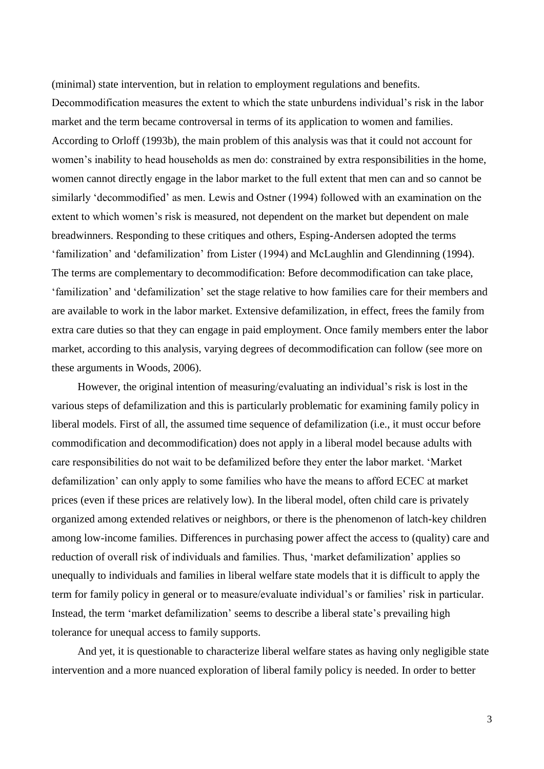(minimal) state intervention, but in relation to employment regulations and benefits.

Decommodification measures the extent to which the state unburdens individual's risk in the labor market and the term became controversal in terms of its application to women and families. According to Orloff (1993b), the main problem of this analysis was that it could not account for women's inability to head households as men do: constrained by extra responsibilities in the home, women cannot directly engage in the labor market to the full extent that men can and so cannot be similarly 'decommodified' as men. Lewis and Ostner (1994) followed with an examination on the extent to which women's risk is measured, not dependent on the market but dependent on male breadwinners. Responding to these critiques and others, Esping-Andersen adopted the terms 'familization' and 'defamilization' from Lister (1994) and McLaughlin and Glendinning (1994). The terms are complementary to decommodification: Before decommodification can take place, 'familization' and 'defamilization' set the stage relative to how families care for their members and are available to work in the labor market. Extensive defamilization, in effect, frees the family from extra care duties so that they can engage in paid employment. Once family members enter the labor market, according to this analysis, varying degrees of decommodification can follow (see more on these arguments in Woods, 2006).

However, the original intention of measuring/evaluating an individual's risk is lost in the various steps of defamilization and this is particularly problematic for examining family policy in liberal models. First of all, the assumed time sequence of defamilization (i.e., it must occur before commodification and decommodification) does not apply in a liberal model because adults with care responsibilities do not wait to be defamilized before they enter the labor market. 'Market defamilization' can only apply to some families who have the means to afford ECEC at market prices (even if these prices are relatively low). In the liberal model, often child care is privately organized among extended relatives or neighbors, or there is the phenomenon of latch-key children among low-income families. Differences in purchasing power affect the access to (quality) care and reduction of overall risk of individuals and families. Thus, 'market defamilization' applies so unequally to individuals and families in liberal welfare state models that it is difficult to apply the term for family policy in general or to measure/evaluate individual's or families' risk in particular. Instead, the term 'market defamilization' seems to describe a liberal state's prevailing high tolerance for unequal access to family supports.

And yet, it is questionable to characterize liberal welfare states as having only negligible state intervention and a more nuanced exploration of liberal family policy is needed. In order to better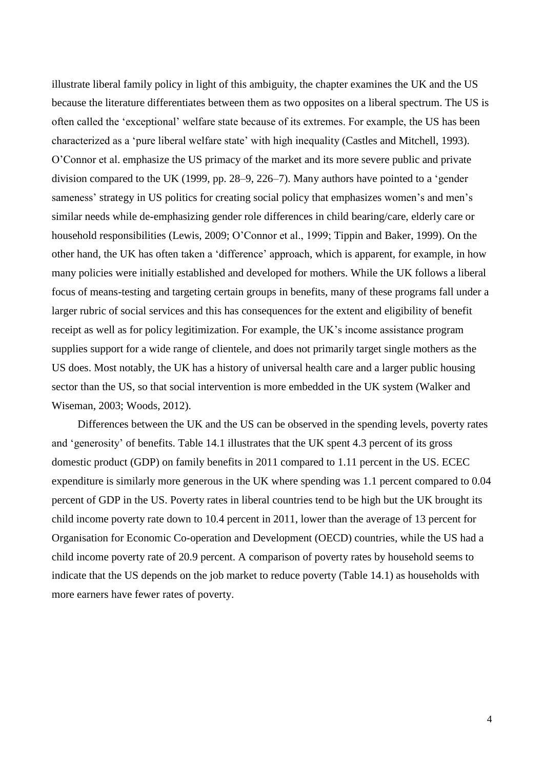illustrate liberal family policy in light of this ambiguity, the chapter examines the UK and the US because the literature differentiates between them as two opposites on a liberal spectrum. The US is often called the 'exceptional' welfare state because of its extremes. For example, the US has been characterized as a 'pure liberal welfare state' with high inequality (Castles and Mitchell, 1993). O'Connor et al. emphasize the US primacy of the market and its more severe public and private division compared to the UK (1999, pp. 28–9, 226–7). Many authors have pointed to a 'gender sameness' strategy in US politics for creating social policy that emphasizes women's and men's similar needs while de-emphasizing gender role differences in child bearing/care, elderly care or household responsibilities (Lewis, 2009; O'Connor et al., 1999; Tippin and Baker, 1999). On the other hand, the UK has often taken a 'difference' approach, which is apparent, for example, in how many policies were initially established and developed for mothers. While the UK follows a liberal focus of means-testing and targeting certain groups in benefits, many of these programs fall under a larger rubric of social services and this has consequences for the extent and eligibility of benefit receipt as well as for policy legitimization. For example, the UK's income assistance program supplies support for a wide range of clientele, and does not primarily target single mothers as the US does. Most notably, the UK has a history of universal health care and a larger public housing sector than the US, so that social intervention is more embedded in the UK system (Walker and Wiseman, 2003; Woods, 2012).

Differences between the UK and the US can be observed in the spending levels, poverty rates and 'generosity' of benefits. Table 14.1 illustrates that the UK spent 4.3 percent of its gross domestic product (GDP) on family benefits in 2011 compared to 1.11 percent in the US. ECEC expenditure is similarly more generous in the UK where spending was 1.1 percent compared to 0.04 percent of GDP in the US. Poverty rates in liberal countries tend to be high but the UK brought its child income poverty rate down to 10.4 percent in 2011, lower than the average of 13 percent for Organisation for Economic Co-operation and Development (OECD) countries, while the US had a child income poverty rate of 20.9 percent. A comparison of poverty rates by household seems to indicate that the US depends on the job market to reduce poverty (Table 14.1) as households with more earners have fewer rates of poverty.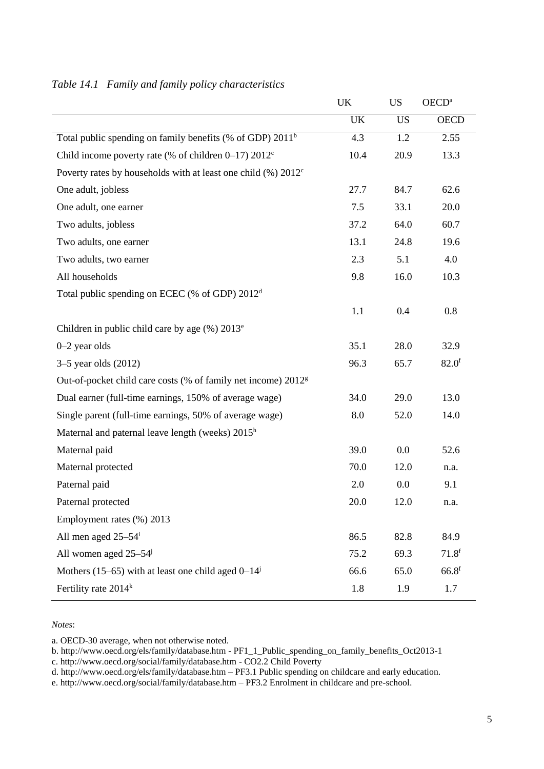|                                                                   | <b>UK</b> | <b>US</b> | OECD <sup>a</sup> |
|-------------------------------------------------------------------|-----------|-----------|-------------------|
|                                                                   | UK        | <b>US</b> | <b>OECD</b>       |
| Total public spending on family benefits (% of GDP) $2011b$       | 4.3       | 1.2       | 2.55              |
| Child income poverty rate (% of children $0-17$ ) $2012^c$        | 10.4      | 20.9      | 13.3              |
| Poverty rates by households with at least one child $(\%) 2012^c$ |           |           |                   |
| One adult, jobless                                                | 27.7      | 84.7      | 62.6              |
| One adult, one earner                                             | 7.5       | 33.1      | 20.0              |
| Two adults, jobless                                               | 37.2      | 64.0      | 60.7              |
| Two adults, one earner                                            | 13.1      | 24.8      | 19.6              |
| Two adults, two earner                                            | 2.3       | 5.1       | 4.0               |
| All households                                                    | 9.8       | 16.0      | 10.3              |
| Total public spending on ECEC (% of GDP) 2012 <sup>d</sup>        |           |           |                   |
|                                                                   | 1.1       | 0.4       | 0.8               |
| Children in public child care by age (%) 2013 <sup>e</sup>        |           |           |                   |
| $0-2$ year olds                                                   | 35.1      | 28.0      | 32.9              |
| $3-5$ year olds $(2012)$                                          | 96.3      | 65.7      | 82.0 <sup>f</sup> |
| Out-of-pocket child care costs (% of family net income) $2012g$   |           |           |                   |
| Dual earner (full-time earnings, 150% of average wage)            | 34.0      | 29.0      | 13.0              |
| Single parent (full-time earnings, 50% of average wage)           | 8.0       | 52.0      | 14.0              |
| Maternal and paternal leave length (weeks) 2015 <sup>h</sup>      |           |           |                   |
| Maternal paid                                                     | 39.0      | 0.0       | 52.6              |
| Maternal protected                                                | 70.0      | 12.0      | n.a.              |
| Paternal paid                                                     | 2.0       | 0.0       | 9.1               |
| Paternal protected                                                | 20.0      | 12.0      | n.a.              |
| Employment rates (%) 2013                                         |           |           |                   |
| All men aged $25-54$ <sup>i</sup>                                 | 86.5      | 82.8      | 84.9              |
| All women aged $25-54$ <sup>j</sup>                               | 75.2      | 69.3      | $71.8$ f          |
| Mothers (15–65) with at least one child aged $0-14^{\circ}$       | 66.6      | 65.0      | $66.8$ f          |
| Fertility rate 2014 <sup>k</sup>                                  | 1.8       | 1.9       | 1.7               |

# *Table 14.1 Family and family policy characteristics*

#### *Notes*:

a. OECD-30 average, when not otherwise noted.

b. http://www.oecd.org/els/family/database.htm - PF1\_1\_Public\_spending\_on\_family\_benefits\_Oct2013-1

c. http://www.oecd.org/social/family/database.htm - CO2.2 Child Poverty

d. http://www.oecd.org/els/family/database.htm – PF3.1 Public spending on childcare and early education.

e. http://www.oecd.org/social/family/database.htm – PF3.2 Enrolment in childcare and pre-school.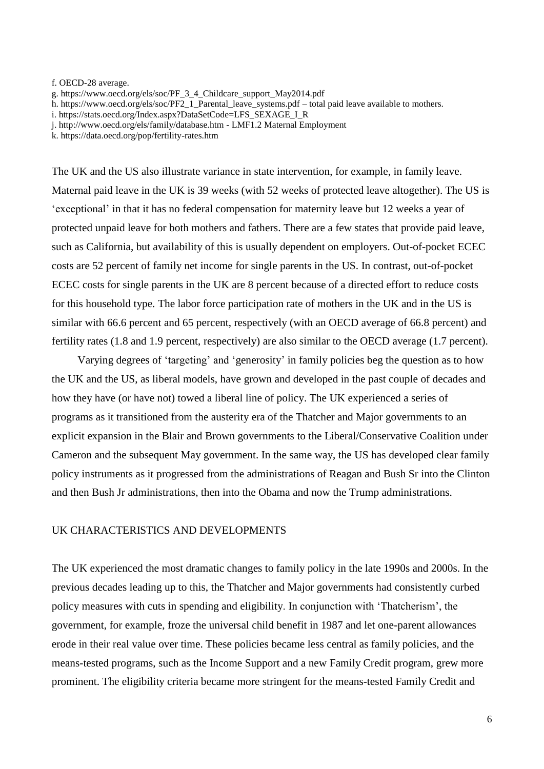f. OECD-28 average.

i. https://stats.oecd.org/Index.aspx?DataSetCode=LFS\_SEXAGE\_I\_R

k. https://data.oecd.org/pop/fertility-rates.htm

The UK and the US also illustrate variance in state intervention, for example, in family leave. Maternal paid leave in the UK is 39 weeks (with 52 weeks of protected leave altogether). The US is 'exceptional' in that it has no federal compensation for maternity leave but 12 weeks a year of protected unpaid leave for both mothers and fathers. There are a few states that provide paid leave, such as California, but availability of this is usually dependent on employers. Out-of-pocket ECEC costs are 52 percent of family net income for single parents in the US. In contrast, out-of-pocket ECEC costs for single parents in the UK are 8 percent because of a directed effort to reduce costs for this household type. The labor force participation rate of mothers in the UK and in the US is similar with 66.6 percent and 65 percent, respectively (with an OECD average of 66.8 percent) and fertility rates (1.8 and 1.9 percent, respectively) are also similar to the OECD average (1.7 percent).

Varying degrees of 'targeting' and 'generosity' in family policies beg the question as to how the UK and the US, as liberal models, have grown and developed in the past couple of decades and how they have (or have not) towed a liberal line of policy. The UK experienced a series of programs as it transitioned from the austerity era of the Thatcher and Major governments to an explicit expansion in the Blair and Brown governments to the Liberal/Conservative Coalition under Cameron and the subsequent May government. In the same way, the US has developed clear family policy instruments as it progressed from the administrations of Reagan and Bush Sr into the Clinton and then Bush Jr administrations, then into the Obama and now the Trump administrations.

## UK CHARACTERISTICS AND DEVELOPMENTS

The UK experienced the most dramatic changes to family policy in the late 1990s and 2000s. In the previous decades leading up to this, the Thatcher and Major governments had consistently curbed policy measures with cuts in spending and eligibility. In conjunction with 'Thatcherism', the government, for example, froze the universal child benefit in 1987 and let one-parent allowances erode in their real value over time. These policies became less central as family policies, and the means-tested programs, such as the Income Support and a new Family Credit program, grew more prominent. The eligibility criteria became more stringent for the means-tested Family Credit and

g. https://www.oecd.org/els/soc/PF\_3\_4\_Childcare\_support\_May2014.pdf

h. https://www.oecd.org/els/soc/PF2\_1\_Parental\_leave\_systems.pdf – total paid leave available to mothers.

j. http://www.oecd.org/els/family/database.htm - LMF1.2 Maternal Employment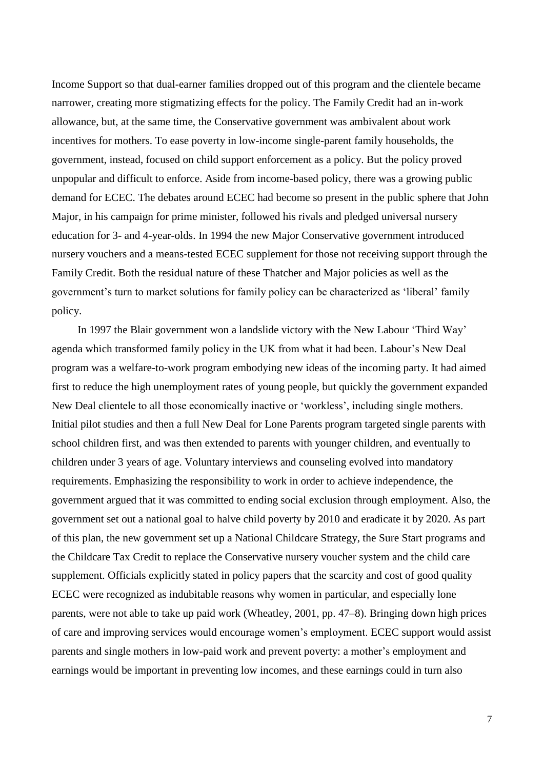Income Support so that dual-earner families dropped out of this program and the clientele became narrower, creating more stigmatizing effects for the policy. The Family Credit had an in-work allowance, but, at the same time, the Conservative government was ambivalent about work incentives for mothers. To ease poverty in low-income single-parent family households, the government, instead, focused on child support enforcement as a policy. But the policy proved unpopular and difficult to enforce. Aside from income-based policy, there was a growing public demand for ECEC. The debates around ECEC had become so present in the public sphere that John Major, in his campaign for prime minister, followed his rivals and pledged universal nursery education for 3- and 4-year-olds. In 1994 the new Major Conservative government introduced nursery vouchers and a means-tested ECEC supplement for those not receiving support through the Family Credit. Both the residual nature of these Thatcher and Major policies as well as the government's turn to market solutions for family policy can be characterized as 'liberal' family policy.

In 1997 the Blair government won a landslide victory with the New Labour 'Third Way' agenda which transformed family policy in the UK from what it had been. Labour's New Deal program was a welfare-to-work program embodying new ideas of the incoming party. It had aimed first to reduce the high unemployment rates of young people, but quickly the government expanded New Deal clientele to all those economically inactive or 'workless', including single mothers. Initial pilot studies and then a full New Deal for Lone Parents program targeted single parents with school children first, and was then extended to parents with younger children, and eventually to children under 3 years of age. Voluntary interviews and counseling evolved into mandatory requirements. Emphasizing the responsibility to work in order to achieve independence, the government argued that it was committed to ending social exclusion through employment. Also, the government set out a national goal to halve child poverty by 2010 and eradicate it by 2020. As part of this plan, the new government set up a National Childcare Strategy, the Sure Start programs and the Childcare Tax Credit to replace the Conservative nursery voucher system and the child care supplement. Officials explicitly stated in policy papers that the scarcity and cost of good quality ECEC were recognized as indubitable reasons why women in particular, and especially lone parents, were not able to take up paid work (Wheatley, 2001, pp. 47–8). Bringing down high prices of care and improving services would encourage women's employment. ECEC support would assist parents and single mothers in low-paid work and prevent poverty: a mother's employment and earnings would be important in preventing low incomes, and these earnings could in turn also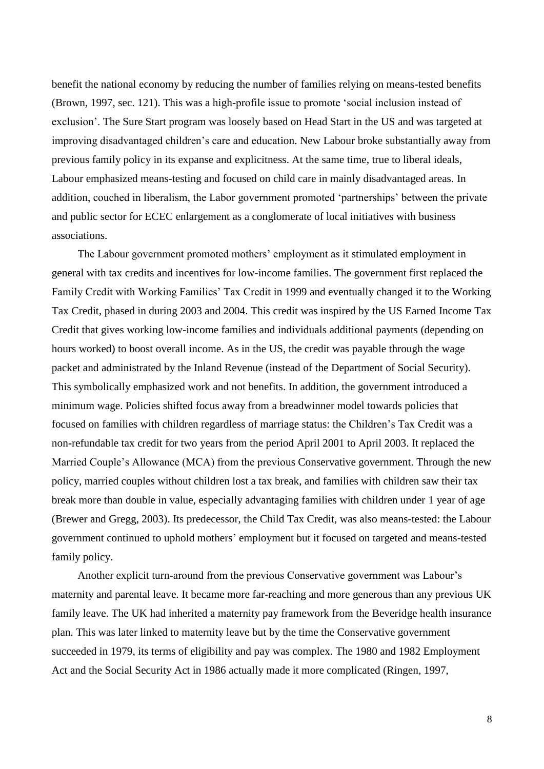benefit the national economy by reducing the number of families relying on means-tested benefits (Brown, 1997, sec. 121). This was a high-profile issue to promote 'social inclusion instead of exclusion'. The Sure Start program was loosely based on Head Start in the US and was targeted at improving disadvantaged children's care and education. New Labour broke substantially away from previous family policy in its expanse and explicitness. At the same time, true to liberal ideals, Labour emphasized means-testing and focused on child care in mainly disadvantaged areas. In addition, couched in liberalism, the Labor government promoted 'partnerships' between the private and public sector for ECEC enlargement as a conglomerate of local initiatives with business associations.

The Labour government promoted mothers' employment as it stimulated employment in general with tax credits and incentives for low-income families. The government first replaced the Family Credit with Working Families' Tax Credit in 1999 and eventually changed it to the Working Tax Credit, phased in during 2003 and 2004. This credit was inspired by the US Earned Income Tax Credit that gives working low-income families and individuals additional payments (depending on hours worked) to boost overall income. As in the US, the credit was payable through the wage packet and administrated by the Inland Revenue (instead of the Department of Social Security). This symbolically emphasized work and not benefits. In addition, the government introduced a minimum wage. Policies shifted focus away from a breadwinner model towards policies that focused on families with children regardless of marriage status: the Children's Tax Credit was a non-refundable tax credit for two years from the period April 2001 to April 2003. It replaced the Married Couple's Allowance (MCA) from the previous Conservative government. Through the new policy, married couples without children lost a tax break, and families with children saw their tax break more than double in value, especially advantaging families with children under 1 year of age (Brewer and Gregg, 2003). Its predecessor, the Child Tax Credit, was also means-tested: the Labour government continued to uphold mothers' employment but it focused on targeted and means-tested family policy.

Another explicit turn-around from the previous Conservative government was Labour's maternity and parental leave. It became more far-reaching and more generous than any previous UK family leave. The UK had inherited a maternity pay framework from the Beveridge health insurance plan. This was later linked to maternity leave but by the time the Conservative government succeeded in 1979, its terms of eligibility and pay was complex. The 1980 and 1982 Employment Act and the Social Security Act in 1986 actually made it more complicated (Ringen, 1997,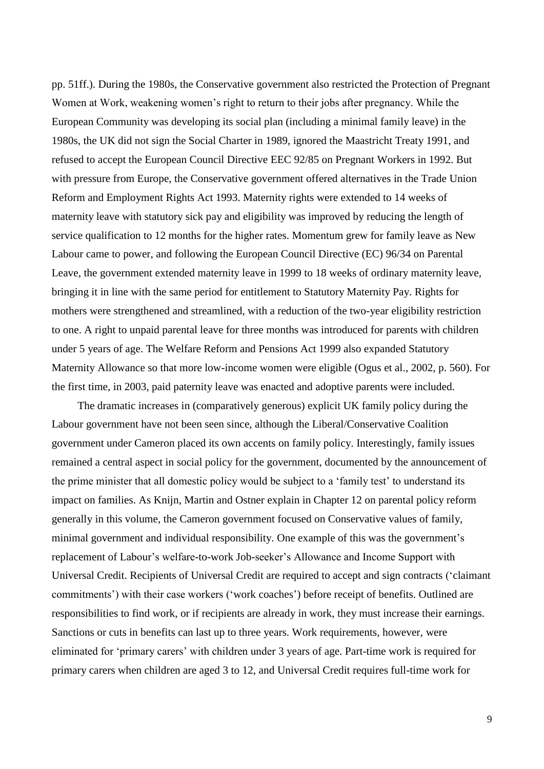pp. 51ff.). During the 1980s, the Conservative government also restricted the Protection of Pregnant Women at Work, weakening women's right to return to their jobs after pregnancy. While the European Community was developing its social plan (including a minimal family leave) in the 1980s, the UK did not sign the Social Charter in 1989, ignored the Maastricht Treaty 1991, and refused to accept the European Council Directive EEC 92/85 on Pregnant Workers in 1992. But with pressure from Europe, the Conservative government offered alternatives in the Trade Union Reform and Employment Rights Act 1993. Maternity rights were extended to 14 weeks of maternity leave with statutory sick pay and eligibility was improved by reducing the length of service qualification to 12 months for the higher rates. Momentum grew for family leave as New Labour came to power, and following the European Council Directive (EC) 96/34 on Parental Leave, the government extended maternity leave in 1999 to 18 weeks of ordinary maternity leave, bringing it in line with the same period for entitlement to Statutory Maternity Pay. Rights for mothers were strengthened and streamlined, with a reduction of the two-year eligibility restriction to one. A right to unpaid parental leave for three months was introduced for parents with children under 5 years of age. The Welfare Reform and Pensions Act 1999 also expanded Statutory Maternity Allowance so that more low-income women were eligible (Ogus et al., 2002, p. 560). For the first time, in 2003, paid paternity leave was enacted and adoptive parents were included.

The dramatic increases in (comparatively generous) explicit UK family policy during the Labour government have not been seen since, although the Liberal/Conservative Coalition government under Cameron placed its own accents on family policy. Interestingly, family issues remained a central aspect in social policy for the government, documented by the announcement of the prime minister that all domestic policy would be subject to a 'family test' to understand its impact on families. As Knijn, Martin and Ostner explain in Chapter 12 on parental policy reform generally in this volume, the Cameron government focused on Conservative values of family, minimal government and individual responsibility. One example of this was the government's replacement of Labour's welfare-to-work Job-seeker's Allowance and Income Support with Universal Credit. Recipients of Universal Credit are required to accept and sign contracts ('claimant commitments') with their case workers ('work coaches') before receipt of benefits. Outlined are responsibilities to find work, or if recipients are already in work, they must increase their earnings. Sanctions or cuts in benefits can last up to three years. Work requirements, however, were eliminated for 'primary carers' with children under 3 years of age. Part-time work is required for primary carers when children are aged 3 to 12, and Universal Credit requires full-time work for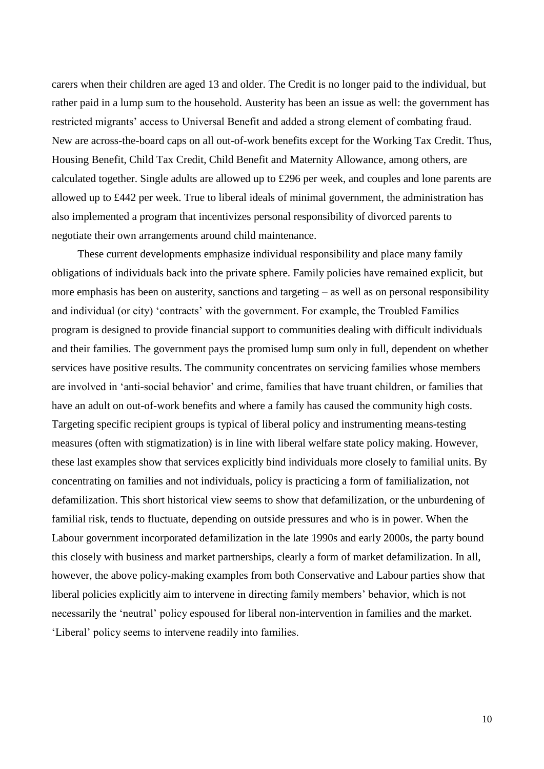carers when their children are aged 13 and older. The Credit is no longer paid to the individual, but rather paid in a lump sum to the household. Austerity has been an issue as well: the government has restricted migrants' access to Universal Benefit and added a strong element of combating fraud. New are across-the-board caps on all out-of-work benefits except for the Working Tax Credit. Thus, Housing Benefit, Child Tax Credit, Child Benefit and Maternity Allowance, among others, are calculated together. Single adults are allowed up to £296 per week, and couples and lone parents are allowed up to £442 per week. True to liberal ideals of minimal government, the administration has also implemented a program that incentivizes personal responsibility of divorced parents to negotiate their own arrangements around child maintenance.

These current developments emphasize individual responsibility and place many family obligations of individuals back into the private sphere. Family policies have remained explicit, but more emphasis has been on austerity, sanctions and targeting – as well as on personal responsibility and individual (or city) 'contracts' with the government. For example, the Troubled Families program is designed to provide financial support to communities dealing with difficult individuals and their families. The government pays the promised lump sum only in full, dependent on whether services have positive results. The community concentrates on servicing families whose members are involved in 'anti-social behavior' and crime, families that have truant children, or families that have an adult on out-of-work benefits and where a family has caused the community high costs. Targeting specific recipient groups is typical of liberal policy and instrumenting means-testing measures (often with stigmatization) is in line with liberal welfare state policy making. However, these last examples show that services explicitly bind individuals more closely to familial units. By concentrating on families and not individuals, policy is practicing a form of familialization, not defamilization. This short historical view seems to show that defamilization, or the unburdening of familial risk, tends to fluctuate, depending on outside pressures and who is in power. When the Labour government incorporated defamilization in the late 1990s and early 2000s, the party bound this closely with business and market partnerships, clearly a form of market defamilization. In all, however, the above policy-making examples from both Conservative and Labour parties show that liberal policies explicitly aim to intervene in directing family members' behavior, which is not necessarily the 'neutral' policy espoused for liberal non-intervention in families and the market. 'Liberal' policy seems to intervene readily into families.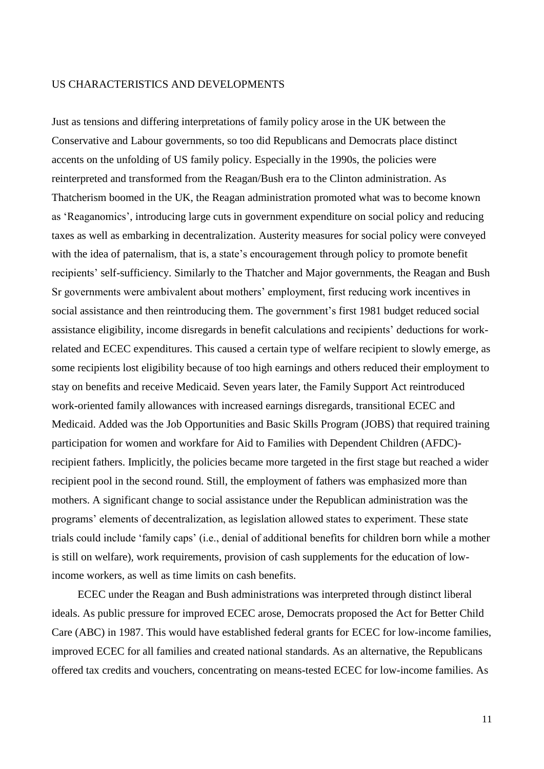### US CHARACTERISTICS AND DEVELOPMENTS

Just as tensions and differing interpretations of family policy arose in the UK between the Conservative and Labour governments, so too did Republicans and Democrats place distinct accents on the unfolding of US family policy. Especially in the 1990s, the policies were reinterpreted and transformed from the Reagan/Bush era to the Clinton administration. As Thatcherism boomed in the UK, the Reagan administration promoted what was to become known as 'Reaganomics', introducing large cuts in government expenditure on social policy and reducing taxes as well as embarking in decentralization. Austerity measures for social policy were conveyed with the idea of paternalism, that is, a state's encouragement through policy to promote benefit recipients' self-sufficiency. Similarly to the Thatcher and Major governments, the Reagan and Bush Sr governments were ambivalent about mothers' employment, first reducing work incentives in social assistance and then reintroducing them. The government's first 1981 budget reduced social assistance eligibility, income disregards in benefit calculations and recipients' deductions for workrelated and ECEC expenditures. This caused a certain type of welfare recipient to slowly emerge, as some recipients lost eligibility because of too high earnings and others reduced their employment to stay on benefits and receive Medicaid. Seven years later, the Family Support Act reintroduced work-oriented family allowances with increased earnings disregards, transitional ECEC and Medicaid. Added was the Job Opportunities and Basic Skills Program (JOBS) that required training participation for women and workfare for Aid to Families with Dependent Children (AFDC) recipient fathers. Implicitly, the policies became more targeted in the first stage but reached a wider recipient pool in the second round. Still, the employment of fathers was emphasized more than mothers. A significant change to social assistance under the Republican administration was the programs' elements of decentralization, as legislation allowed states to experiment. These state trials could include 'family caps' (i.e., denial of additional benefits for children born while a mother is still on welfare), work requirements, provision of cash supplements for the education of lowincome workers, as well as time limits on cash benefits.

ECEC under the Reagan and Bush administrations was interpreted through distinct liberal ideals. As public pressure for improved ECEC arose, Democrats proposed the Act for Better Child Care (ABC) in 1987. This would have established federal grants for ECEC for low-income families, improved ECEC for all families and created national standards. As an alternative, the Republicans offered tax credits and vouchers, concentrating on means-tested ECEC for low-income families. As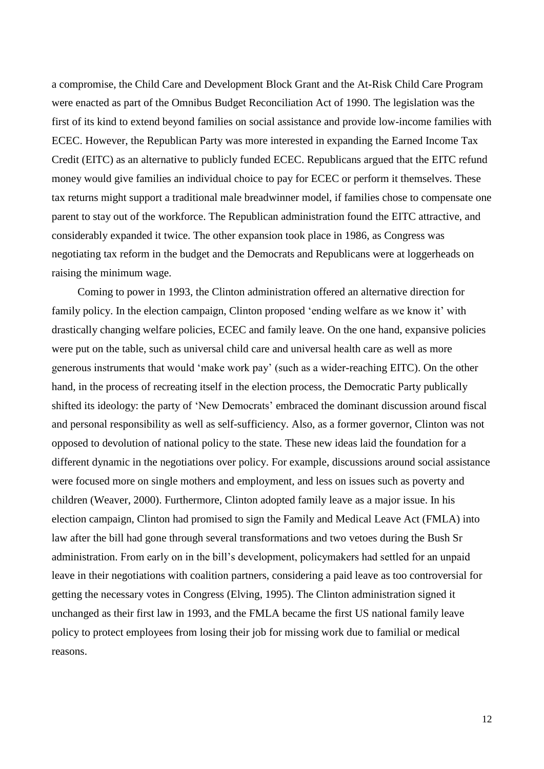a compromise, the Child Care and Development Block Grant and the At-Risk Child Care Program were enacted as part of the Omnibus Budget Reconciliation Act of 1990. The legislation was the first of its kind to extend beyond families on social assistance and provide low-income families with ECEC. However, the Republican Party was more interested in expanding the Earned Income Tax Credit (EITC) as an alternative to publicly funded ECEC. Republicans argued that the EITC refund money would give families an individual choice to pay for ECEC or perform it themselves. These tax returns might support a traditional male breadwinner model, if families chose to compensate one parent to stay out of the workforce. The Republican administration found the EITC attractive, and considerably expanded it twice. The other expansion took place in 1986, as Congress was negotiating tax reform in the budget and the Democrats and Republicans were at loggerheads on raising the minimum wage.

Coming to power in 1993, the Clinton administration offered an alternative direction for family policy. In the election campaign, Clinton proposed 'ending welfare as we know it' with drastically changing welfare policies, ECEC and family leave. On the one hand, expansive policies were put on the table, such as universal child care and universal health care as well as more generous instruments that would 'make work pay' (such as a wider-reaching EITC). On the other hand, in the process of recreating itself in the election process, the Democratic Party publically shifted its ideology: the party of 'New Democrats' embraced the dominant discussion around fiscal and personal responsibility as well as self-sufficiency. Also, as a former governor, Clinton was not opposed to devolution of national policy to the state. These new ideas laid the foundation for a different dynamic in the negotiations over policy. For example, discussions around social assistance were focused more on single mothers and employment, and less on issues such as poverty and children (Weaver, 2000). Furthermore, Clinton adopted family leave as a major issue. In his election campaign, Clinton had promised to sign the Family and Medical Leave Act (FMLA) into law after the bill had gone through several transformations and two vetoes during the Bush Sr administration. From early on in the bill's development, policymakers had settled for an unpaid leave in their negotiations with coalition partners, considering a paid leave as too controversial for getting the necessary votes in Congress (Elving, 1995). The Clinton administration signed it unchanged as their first law in 1993, and the FMLA became the first US national family leave policy to protect employees from losing their job for missing work due to familial or medical reasons.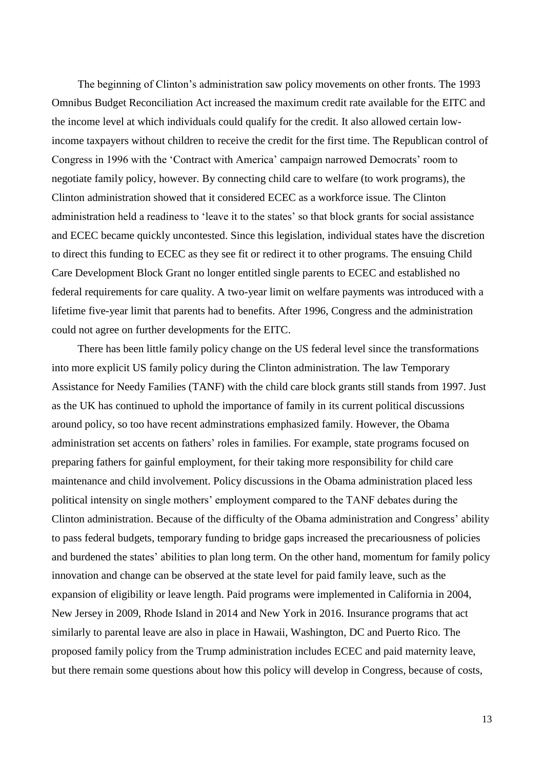The beginning of Clinton's administration saw policy movements on other fronts. The 1993 Omnibus Budget Reconciliation Act increased the maximum credit rate available for the EITC and the income level at which individuals could qualify for the credit. It also allowed certain lowincome taxpayers without children to receive the credit for the first time. The Republican control of Congress in 1996 with the 'Contract with America' campaign narrowed Democrats' room to negotiate family policy, however. By connecting child care to welfare (to work programs), the Clinton administration showed that it considered ECEC as a workforce issue. The Clinton administration held a readiness to 'leave it to the states' so that block grants for social assistance and ECEC became quickly uncontested. Since this legislation, individual states have the discretion to direct this funding to ECEC as they see fit or redirect it to other programs. The ensuing Child Care Development Block Grant no longer entitled single parents to ECEC and established no federal requirements for care quality. A two-year limit on welfare payments was introduced with a lifetime five-year limit that parents had to benefits. After 1996, Congress and the administration could not agree on further developments for the EITC.

There has been little family policy change on the US federal level since the transformations into more explicit US family policy during the Clinton administration. The law Temporary Assistance for Needy Families (TANF) with the child care block grants still stands from 1997. Just as the UK has continued to uphold the importance of family in its current political discussions around policy, so too have recent adminstrations emphasized family. However, the Obama administration set accents on fathers' roles in families. For example, state programs focused on preparing fathers for gainful employment, for their taking more responsibility for child care maintenance and child involvement. Policy discussions in the Obama administration placed less political intensity on single mothers' employment compared to the TANF debates during the Clinton administration. Because of the difficulty of the Obama administration and Congress' ability to pass federal budgets, temporary funding to bridge gaps increased the precariousness of policies and burdened the states' abilities to plan long term. On the other hand, momentum for family policy innovation and change can be observed at the state level for paid family leave, such as the expansion of eligibility or leave length. Paid programs were implemented in California in 2004, New Jersey in 2009, Rhode Island in 2014 and New York in 2016. Insurance programs that act similarly to parental leave are also in place in Hawaii, Washington, DC and Puerto Rico. The proposed family policy from the Trump administration includes ECEC and paid maternity leave, but there remain some questions about how this policy will develop in Congress, because of costs,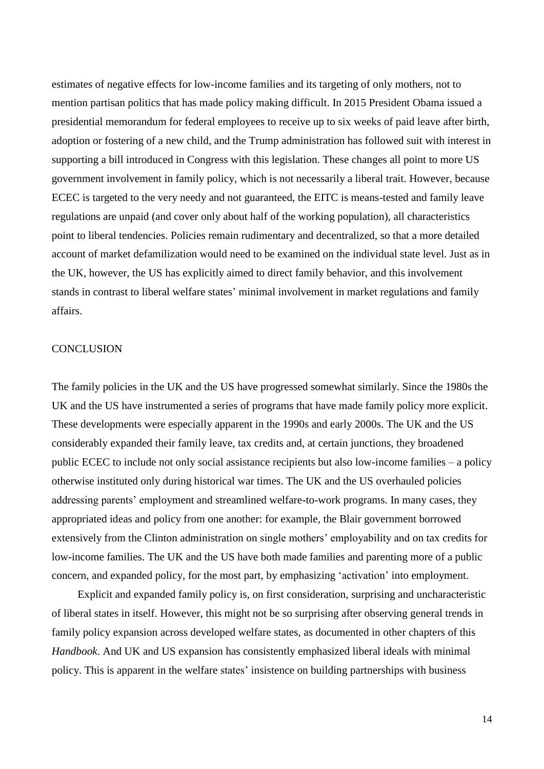estimates of negative effects for low-income families and its targeting of only mothers, not to mention partisan politics that has made policy making difficult. In 2015 President Obama issued a presidential memorandum for federal employees to receive up to six weeks of paid leave after birth, adoption or fostering of a new child, and the Trump administration has followed suit with interest in supporting a bill introduced in Congress with this legislation. These changes all point to more US government involvement in family policy, which is not necessarily a liberal trait. However, because ECEC is targeted to the very needy and not guaranteed, the EITC is means-tested and family leave regulations are unpaid (and cover only about half of the working population), all characteristics point to liberal tendencies. Policies remain rudimentary and decentralized, so that a more detailed account of market defamilization would need to be examined on the individual state level. Just as in the UK, however, the US has explicitly aimed to direct family behavior, and this involvement stands in contrast to liberal welfare states' minimal involvement in market regulations and family affairs.

## **CONCLUSION**

The family policies in the UK and the US have progressed somewhat similarly. Since the 1980s the UK and the US have instrumented a series of programs that have made family policy more explicit. These developments were especially apparent in the 1990s and early 2000s. The UK and the US considerably expanded their family leave, tax credits and, at certain junctions, they broadened public ECEC to include not only social assistance recipients but also low-income families – a policy otherwise instituted only during historical war times. The UK and the US overhauled policies addressing parents' employment and streamlined welfare-to-work programs. In many cases, they appropriated ideas and policy from one another: for example, the Blair government borrowed extensively from the Clinton administration on single mothers' employability and on tax credits for low-income families. The UK and the US have both made families and parenting more of a public concern, and expanded policy, for the most part, by emphasizing 'activation' into employment.

Explicit and expanded family policy is, on first consideration, surprising and uncharacteristic of liberal states in itself. However, this might not be so surprising after observing general trends in family policy expansion across developed welfare states, as documented in other chapters of this *Handbook*. And UK and US expansion has consistently emphasized liberal ideals with minimal policy. This is apparent in the welfare states' insistence on building partnerships with business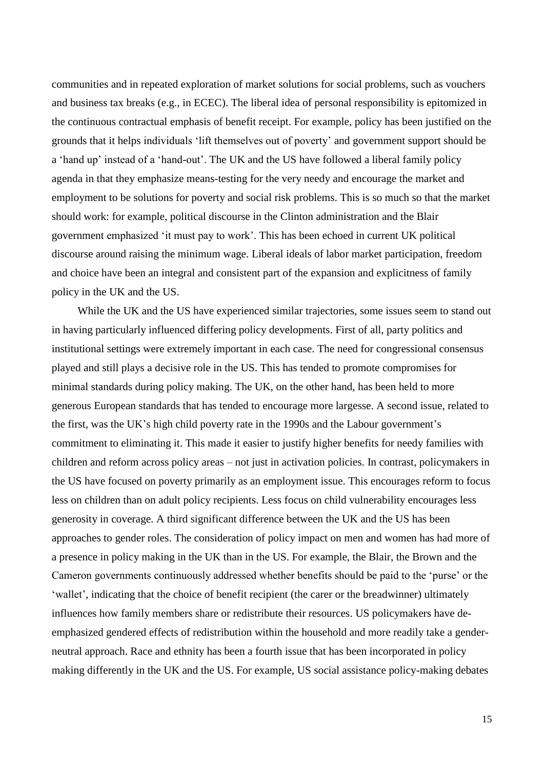communities and in repeated exploration of market solutions for social problems, such as vouchers and business tax breaks (e.g., in ECEC). The liberal idea of personal responsibility is epitomized in the continuous contractual emphasis of benefit receipt. For example, policy has been justified on the grounds that it helps individuals 'lift themselves out of poverty' and government support should be a 'hand up' instead of a 'hand-out'. The UK and the US have followed a liberal family policy agenda in that they emphasize means-testing for the very needy and encourage the market and employment to be solutions for poverty and social risk problems. This is so much so that the market should work: for example, political discourse in the Clinton administration and the Blair government emphasized 'it must pay to work'. This has been echoed in current UK political discourse around raising the minimum wage. Liberal ideals of labor market participation, freedom and choice have been an integral and consistent part of the expansion and explicitness of family policy in the UK and the US.

While the UK and the US have experienced similar trajectories, some issues seem to stand out in having particularly influenced differing policy developments. First of all, party politics and institutional settings were extremely important in each case. The need for congressional consensus played and still plays a decisive role in the US. This has tended to promote compromises for minimal standards during policy making. The UK, on the other hand, has been held to more generous European standards that has tended to encourage more largesse. A second issue, related to the first, was the UK's high child poverty rate in the 1990s and the Labour government's commitment to eliminating it. This made it easier to justify higher benefits for needy families with children and reform across policy areas – not just in activation policies. In contrast, policymakers in the US have focused on poverty primarily as an employment issue. This encourages reform to focus less on children than on adult policy recipients. Less focus on child vulnerability encourages less generosity in coverage. A third significant difference between the UK and the US has been approaches to gender roles. The consideration of policy impact on men and women has had more of a presence in policy making in the UK than in the US. For example, the Blair, the Brown and the Cameron governments continuously addressed whether benefits should be paid to the 'purse' or the 'wallet', indicating that the choice of benefit recipient (the carer or the breadwinner) ultimately influences how family members share or redistribute their resources. US policymakers have deemphasized gendered effects of redistribution within the household and more readily take a genderneutral approach. Race and ethnity has been a fourth issue that has been incorporated in policy making differently in the UK and the US. For example, US social assistance policy-making debates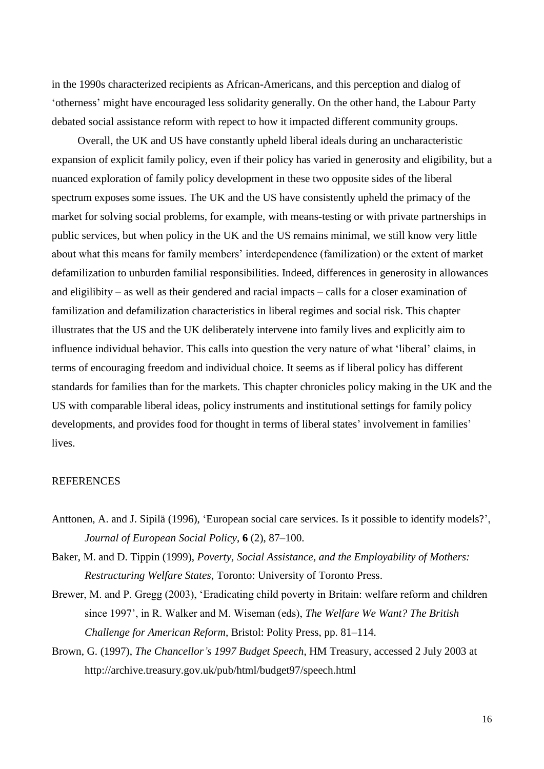in the 1990s characterized recipients as African-Americans, and this perception and dialog of 'otherness' might have encouraged less solidarity generally. On the other hand, the Labour Party debated social assistance reform with repect to how it impacted different community groups.

Overall, the UK and US have constantly upheld liberal ideals during an uncharacteristic expansion of explicit family policy, even if their policy has varied in generosity and eligibility, but a nuanced exploration of family policy development in these two opposite sides of the liberal spectrum exposes some issues. The UK and the US have consistently upheld the primacy of the market for solving social problems, for example, with means-testing or with private partnerships in public services, but when policy in the UK and the US remains minimal, we still know very little about what this means for family members' interdependence (familization) or the extent of market defamilization to unburden familial responsibilities. Indeed, differences in generosity in allowances and eligilibity – as well as their gendered and racial impacts – calls for a closer examination of familization and defamilization characteristics in liberal regimes and social risk. This chapter illustrates that the US and the UK deliberately intervene into family lives and explicitly aim to influence individual behavior. This calls into question the very nature of what 'liberal' claims, in terms of encouraging freedom and individual choice. It seems as if liberal policy has different standards for families than for the markets. This chapter chronicles policy making in the UK and the US with comparable liberal ideas, policy instruments and institutional settings for family policy developments, and provides food for thought in terms of liberal states' involvement in families' lives.

## REFERENCES

- Anttonen, A. and J. Sipilä (1996), 'European social care services. Is it possible to identify models?', *Journal of European Social Policy*, **6** (2), 87–100.
- Baker, M. and D. Tippin (1999), *Poverty, Social Assistance, and the Employability of Mothers: Restructuring Welfare States*, Toronto: University of Toronto Press.
- Brewer, M. and P. Gregg (2003), 'Eradicating child poverty in Britain: welfare reform and children since 1997', in R. Walker and M. Wiseman (eds), *The Welfare We Want? The British Challenge for American Reform*, Bristol: Polity Press, pp. 81–114.
- Brown, G. (1997), *The Chancellor's 1997 Budget Speech*, HM Treasury, accessed 2 July 2003 at http://archive.treasury.gov.uk/pub/html/budget97/speech.html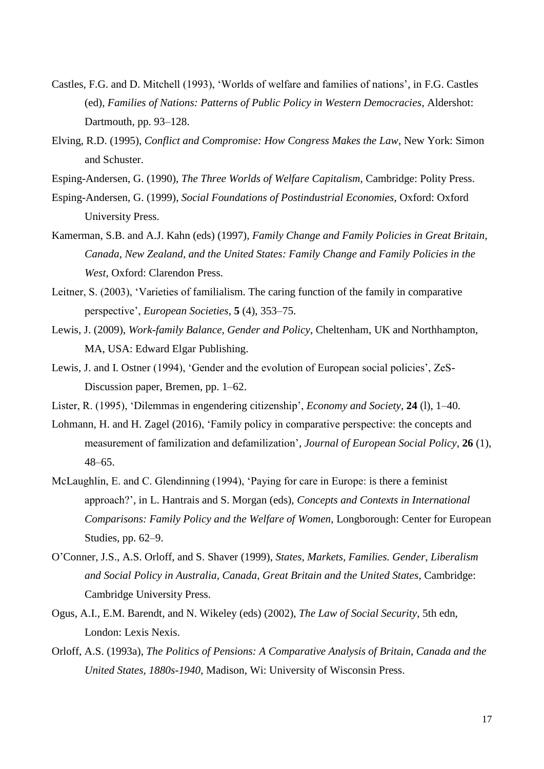- Castles, F.G. and D. Mitchell (1993), 'Worlds of welfare and families of nations', in F.G. Castles (ed), *Families of Nations: Patterns of Public Policy in Western Democracies*, Aldershot: Dartmouth, pp. 93–128.
- Elving, R.D. (1995), *Conflict and Compromise: How Congress Makes the Law*, New York: Simon and Schuster.
- Esping-Andersen, G. (1990), *The Three Worlds of Welfare Capitalism*, Cambridge: Polity Press.
- Esping-Andersen, G. (1999), *Social Foundations of Postindustrial Economies*, Oxford: Oxford University Press.
- Kamerman, S.B. and A.J. Kahn (eds) (1997), *Family Change and Family Policies in Great Britain, Canada, New Zealand, and the United States: Family Change and Family Policies in the West*, Oxford: Clarendon Press.
- Leitner, S. (2003), 'Varieties of familialism. The caring function of the family in comparative perspective', *European Societies*, **5** (4), 353–75.
- Lewis, J. (2009), *Work-family Balance, Gender and Policy*, Cheltenham, UK and Northhampton, MA, USA: Edward Elgar Publishing.
- Lewis, J. and I. Ostner (1994), 'Gender and the evolution of European social policies', ZeS-Discussion paper, Bremen, pp. 1–62.
- Lister, R. (1995), 'Dilemmas in engendering citizenship', *Economy and Society*, **24** (l), 1–40.
- Lohmann, H. and H. Zagel (2016), 'Family policy in comparative perspective: the concepts and measurement of familization and defamilization', *Journal of European Social Policy*, **26** (1), 48–65.
- McLaughlin, E. and C. Glendinning (1994), 'Paying for care in Europe: is there a feminist approach?', in L. Hantrais and S. Morgan (eds), *Concepts and Contexts in International Comparisons: Family Policy and the Welfare of Women*, Longborough: Center for European Studies, pp. 62–9.
- O'Conner, J.S., A.S. Orloff, and S. Shaver (1999), *States, Markets, Families. Gender, Liberalism and Social Policy in Australia, Canada, Great Britain and the United States*, Cambridge: Cambridge University Press.
- Ogus, A.I., E.M. Barendt, and N. Wikeley (eds) (2002), *The Law of Social Security*, 5th edn, London: Lexis Nexis.
- Orloff, A.S. (1993a), *[The Politics of Pensions: A Comparative Analysis of Britain, Canada and the](http://www.scholars.northwestern.edu/bookDetail.asp?n=Ann+Shola+Orloff&u_id=1774&oe_id=1&o_id=&id=1099)  [United States, 1880s-1940](http://www.scholars.northwestern.edu/bookDetail.asp?n=Ann+Shola+Orloff&u_id=1774&oe_id=1&o_id=&id=1099)*, Madison, Wi: University of Wisconsin Press.